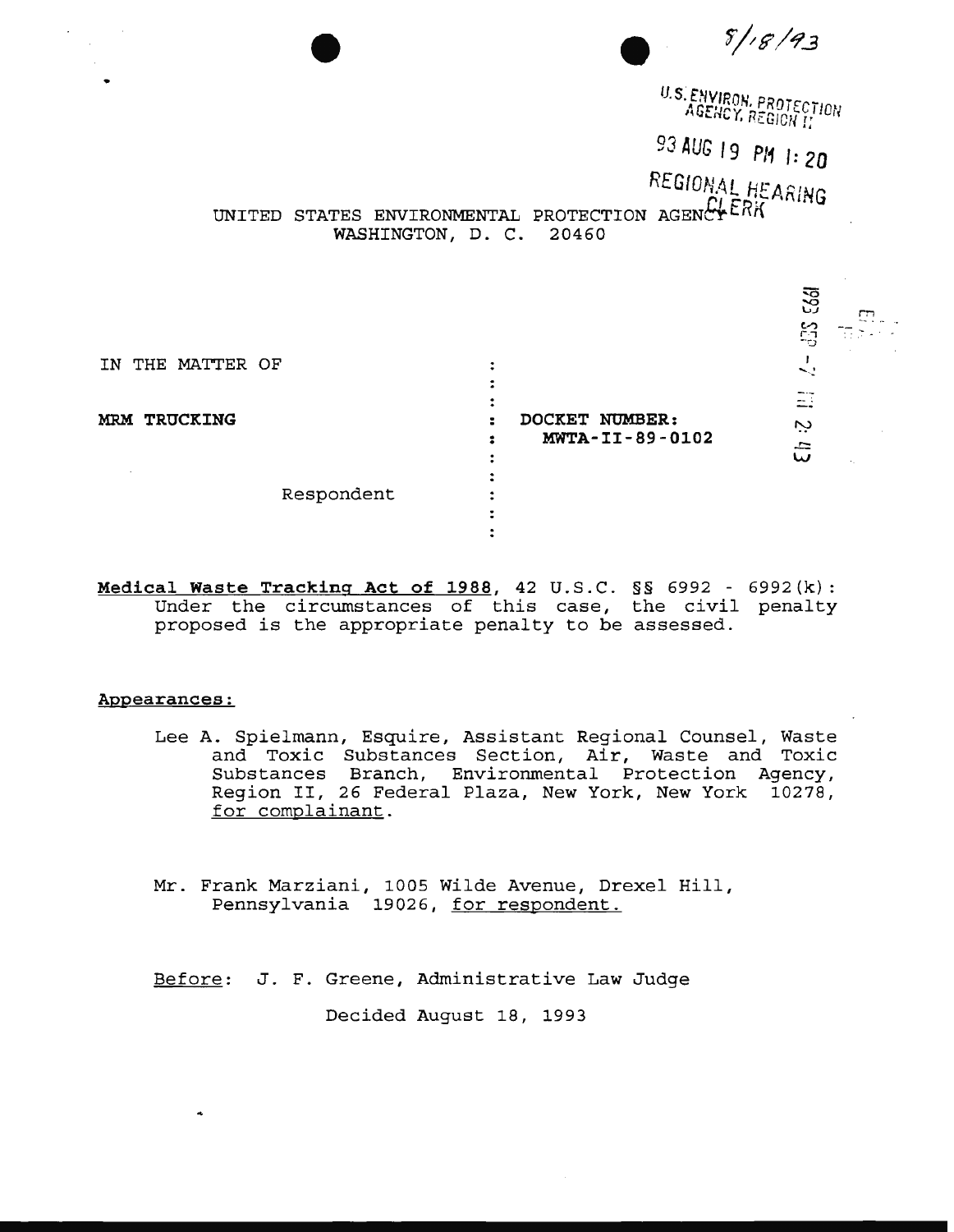$8/18/93$ U.S. ENVIRON, PROTECTION<br>AGENCY, REGION II 93 *AUG 19* **P/1 1:20**  REGIONAL HEARING<br>UNITED STATES ENVIRONMENTAL PROTECTION AGENCY<sup>ERK</sup> PROTECTION AGENCI<sup>LA</sup>N<br>20460 WASHINGTON, D. C. r:; IN THE MATTER OF  $\frac{1}{\sqrt{2}}$  $\mathbf{r}$  $\mathbb{Z}^+$ **MRM TRUCKING DOCKET NUMBER:**  Ċ.  $\mathbf{E}$ : **MWTA-II-89-0102**   $\tilde{\omega}$  $\ddot{\cdot}$  $\ddot{\bullet}$ Respondent  $\ddot{\bullet}$  $\mathbf{r}$ 

**Medical Waste Tracking Act of 1988,** 42 U.S.C. §§ 6992 - 6992(k): Under the circumstances of this case, the civil penalty proposed is the appropriate penalty to be assessed.

 $\ddot{\cdot}$ 

## **Appearances:**

Lee A. Spielmann, Esquire, Assistant Regional Counsel, Waste and Toxic Substances Section, Air, Waste and Toxic Substances Branch, Environmental Protection Agency, Region II, 26 Federal Plaza, New York, New York 10278, for complainant.

Mr. Frank Marziani, 1005 Wilde Avenue, Drexel Hill, Pennsylvania 19026, for respondent.

Before: J. F. Greene, Administrative Law Judge

Decided August 18, 1993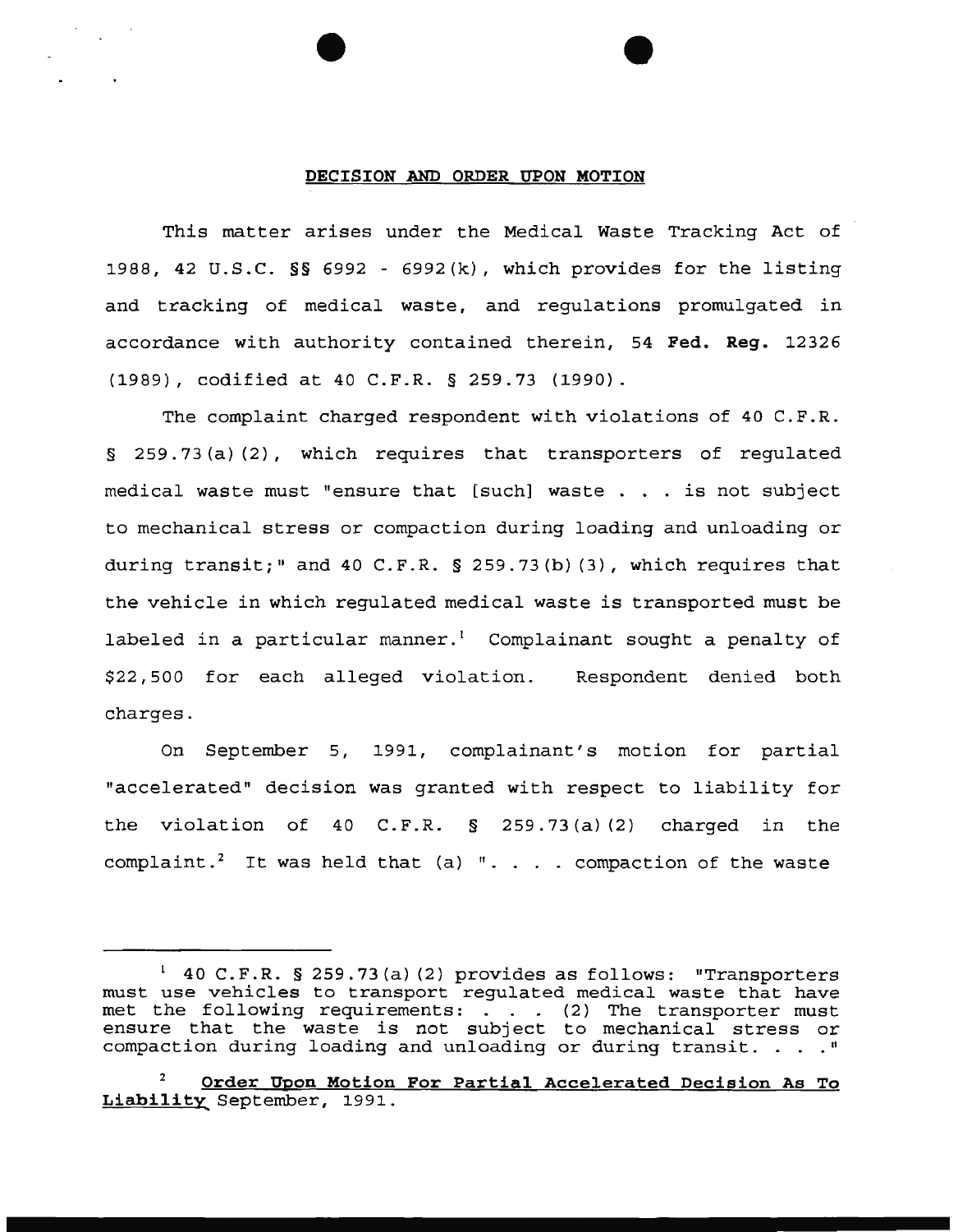#### **DECISION AND ORDER UPON MOTION**

This matter arises under the Medical Waste Tracking Act of 1988, 42 U.S.C. §§ 6992 - 6992(k), which provides for the listing and tracking of medical waste, and regulations promulgated in accordance with authority contained therein, 54 **Fed. Reg.** 12326 {1989), codified at 40 C.F.R. § 259.73 {1990).

The complaint charged respondent with violations of 40 C.F.R. § 259.73 (a) (2), which requires that transporters of regulated medical waste must "ensure that [such] waste . . . is not subject to mechanical stress or compaction during loading and unloading or during transit;" and 40 C.F.R.  $\S$  259.73(b)(3), which requires that the vehicle in which regulated medical waste is transported must be labeled in a particular manner.<sup>1</sup> Complainant sought a penalty of \$22,500 for each alleged violation. Respondent denied both charges.

On September 5, 1991, complainant's motion for partial "accelerated" decision was granted with respect to liability for the violation of 40 C.F.R. § 259.73(a) (2) charged in the complaint.<sup>2</sup> It was held that (a) ". . . . compaction of the waste

 $140$  C.F.R. § 259.73(a)(2) provides as follows: "Transporters must use vehicles to transport regulated medical waste that have met the following requirements: . . . (2) The transporter must ensure that the waste is not subject to mechanical stress or compaction during loading and unloading or during transit. . . "

<sup>2</sup>**Order Upon Motion For Partial Accelerated Decision As To**  Liability September, 1991.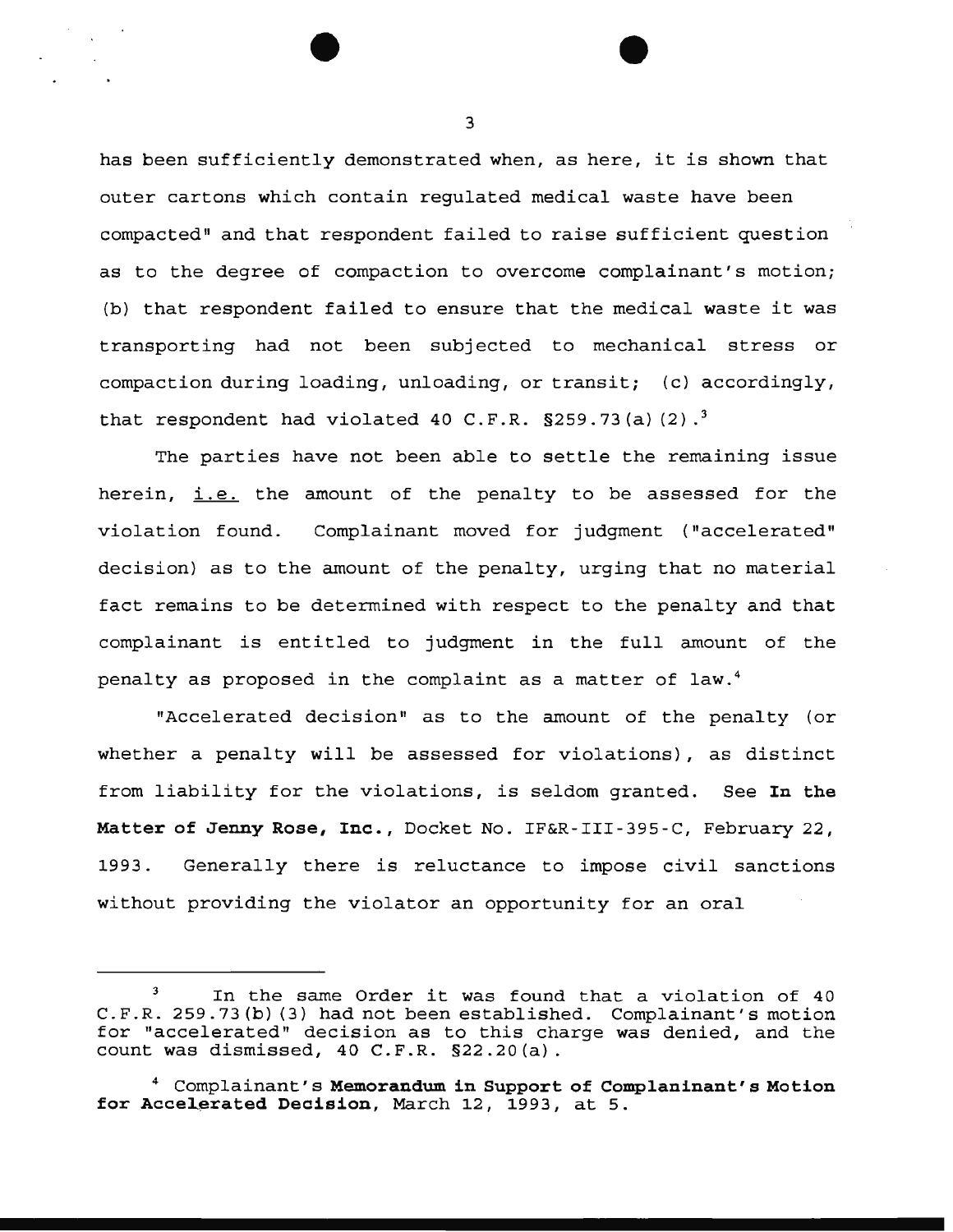has been sufficiently demonstrated when, as here, it is shown that outer cartons which contain regulated medical waste have been compacted" and that respondent failed to raise sufficient question as to the degree of compaction to overcome complainant's motion; (b) that respondent failed to ensure that the medical waste it was transporting had not been subjected to mechanical stress or compaction during loading, unloading, or transit; (c) accordingly, that respondent had violated 40 C.F.R.  $\S 259.73$  (a)  $(2).^{3}$ 

The parties have not been able to settle the remaining issue herein, *i.e.* the amount of the penalty to be assessed for the violation found. Complainant moved for judgment ("accelerated" decision) as to the amount of the penalty, urging that no material fact remains to be determined with respect to the penalty and that complainant is entitled to judgment in the full amount of the penalty as proposed in the complaint as a matter of law. <sup>4</sup>

"Accelerated decision" as to the amount of the penalty (or whether a penalty will be assessed for violations), as distinct from liability for the violations, is seldom granted. See In **the Matter of Jenny Rose, Inc.,** Docket No. IF&R-III-395-C, February 22, 1993. Generally there is reluctance to impose civil sanctions without providing the violator an opportunity for an oral

In the same Order it was found that a violation of 40 C.F.R. 259.73 (b) (3) had not been established. Complainant's motion for "accelerated" decision as to this charge was denied, and the count was dismissed, 40 C.F.R. §22.20(a).

<sup>4</sup> Complainant's **Memorandum in Support of Complaninant' a Motion**  for Accelerated Decision, March 12, 1993, at 5.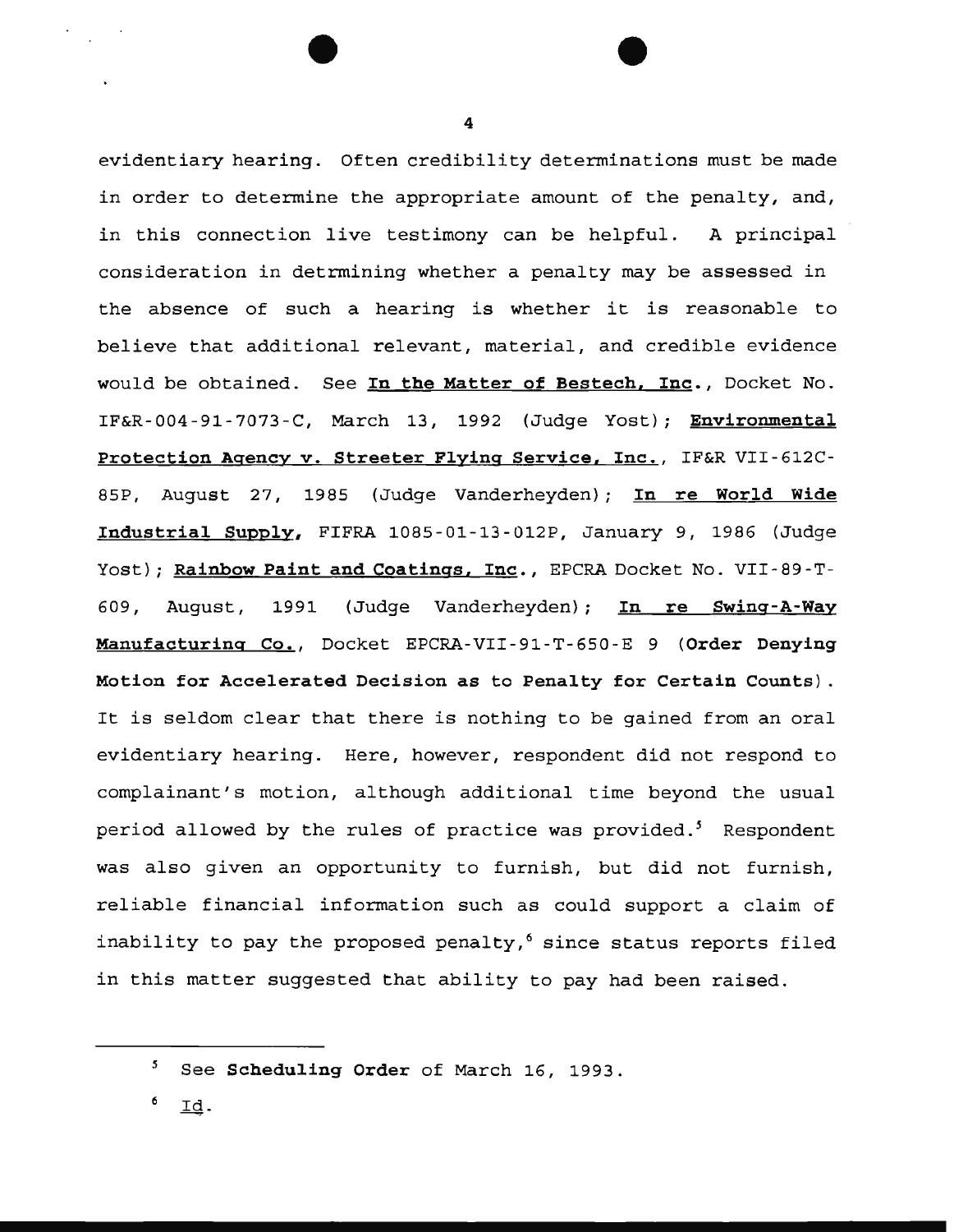evidentiary hearing. Often credibility determinations must be made in order to determine the appropriate amount of the penalty, and, in this connection live testimony can be helpful. A principal consideration in detrmining whether a penalty may be assessed in the absence of such a hearing is whether it is reasonable to believe that additional relevant, material, and credible evidence would be obtained. See **In the Matter of Bestech, Inc.,** Docket No. IF&R-004-91-7073-C, March 13, 1992 (Judge Yost); **Environmental Protection Agency v. Streeter Flying Service, Inc.,** IF&R VII-612C-85P, August 27, 1985 (Judge Vanderheyden); **In re World Wide Industrial Supply,** FIFRA 1085-01-13-012P, January 9, 1986 (Judge Yost); Rainbow Paint and Coatings, Inc., EPCRA Docket No. VII-89-T-609, August, 1991 (Judge Vanderheyden); **In re Swing-A-Way Manufacturing Co.,** Docket EPCRA-VII-91-T-650-E 9 **(Order Denying Motion for Accelerated Decision as to Penalty for Certain Counts).**  It is seldom clear that there is nothing to be gained from an oral evidentiary hearing. Here, however, respondent did not respond to complainant's motion, although additional time beyond the usual period allowed by the rules of practice was provided.<sup>5</sup> Respondent was also given an opportunity to furnish, but did not furnish, reliable financial information such as could support a claim of inability to pay the proposed penalty,<sup>6</sup> since status reports filed in this matter suggested that ability to pay had been raised.

<sup>&</sup>lt;sup>5</sup> See Scheduling Order of March 16, 1993.

<sup>6</sup> *\_IQ.*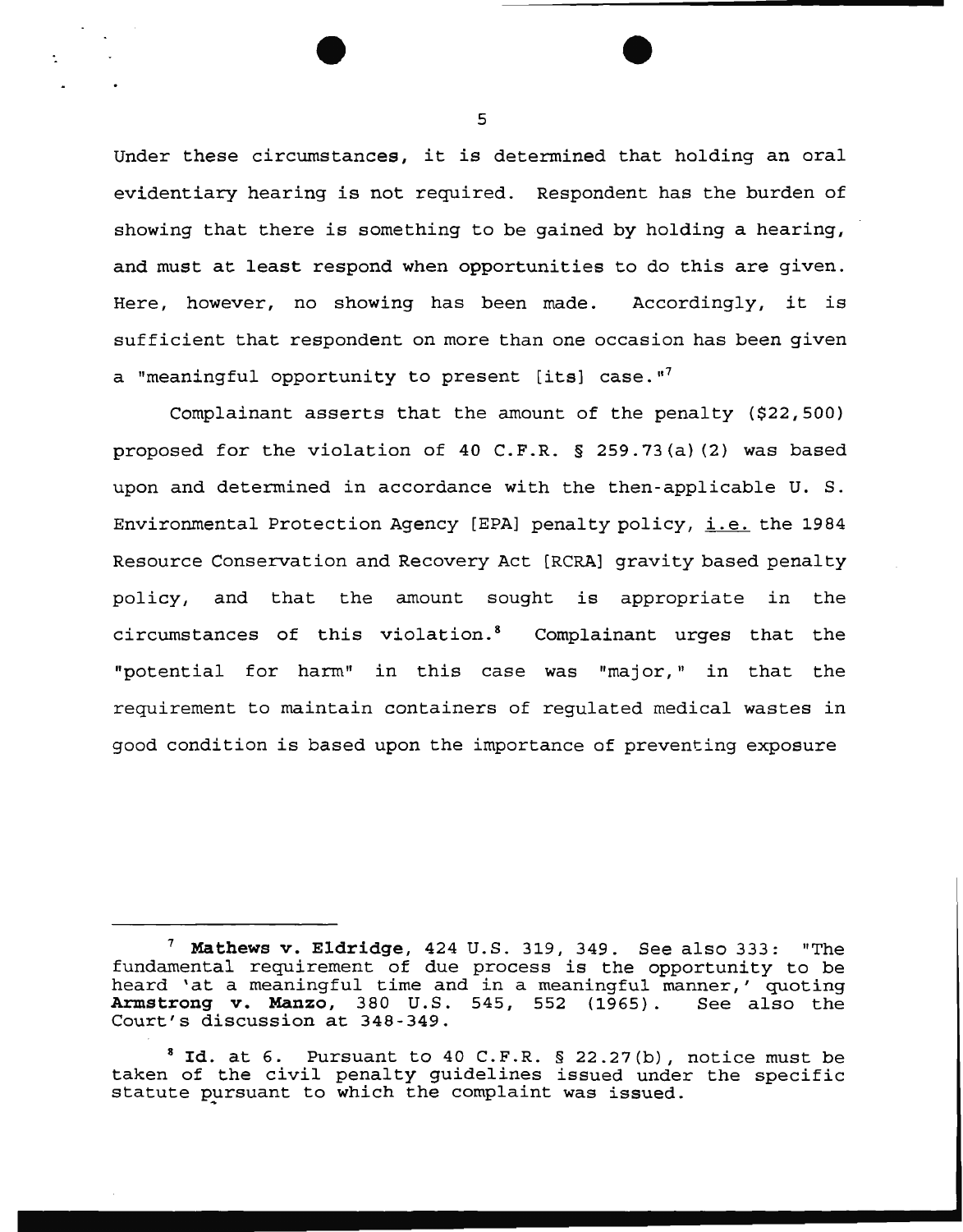Under these circumstances, it is determined that holding an oral evidentiary hearing is not required. Respondent has the burden of showing that there is something to be gained by holding a hearing, and must at least respond when opportunities to do this are given. Here, however, no showing has been made. Accordingly, it is sufficient that respondent on more than one occasion has been given a "meaningful opportunity to present [its] case."<sup>7</sup>

Complainant asserts that the amount of the penalty (\$22,500) proposed for the violation of 40 C.F.R. § 259.73(a) (2) was based upon and determined in accordance with the then-applicable U.S. Environmental Protection Agency [EPA] penalty policy, i.e. the 1984 Resource Conservation and Recovery Act [RCRA] gravity based penalty policy, and that the amount sought is appropriate in the circumstances of this violation. 8 Complainant urges that the "potential for harm" in this case was "major," in that the requirement to maintain containers of regulated medical wastes in good condition is based upon the importance of preventing exposure

<sup>&</sup>lt;sup>7</sup> Mathews v. Eldridge, 424 U.S. 319, 349. See also 333: "The fundamental requirement of due process is the opportunity to be heard 'at a meaningful time and in a meaningful manner,' quoting<br>Armstrong v. Manzo, 380 U.S. 545, 552 (1965). See also the Armstrong v. Manzo, 380 U.S. 545, 552 (1965). Court's discussion at 348-349.

 $^8$  Id. at 6. Pursuant to 40 C.F.R. § 22.27(b), notice must be taken of the civil penalty guidelines issued under the specific statute pursuant to which the complaint was issued.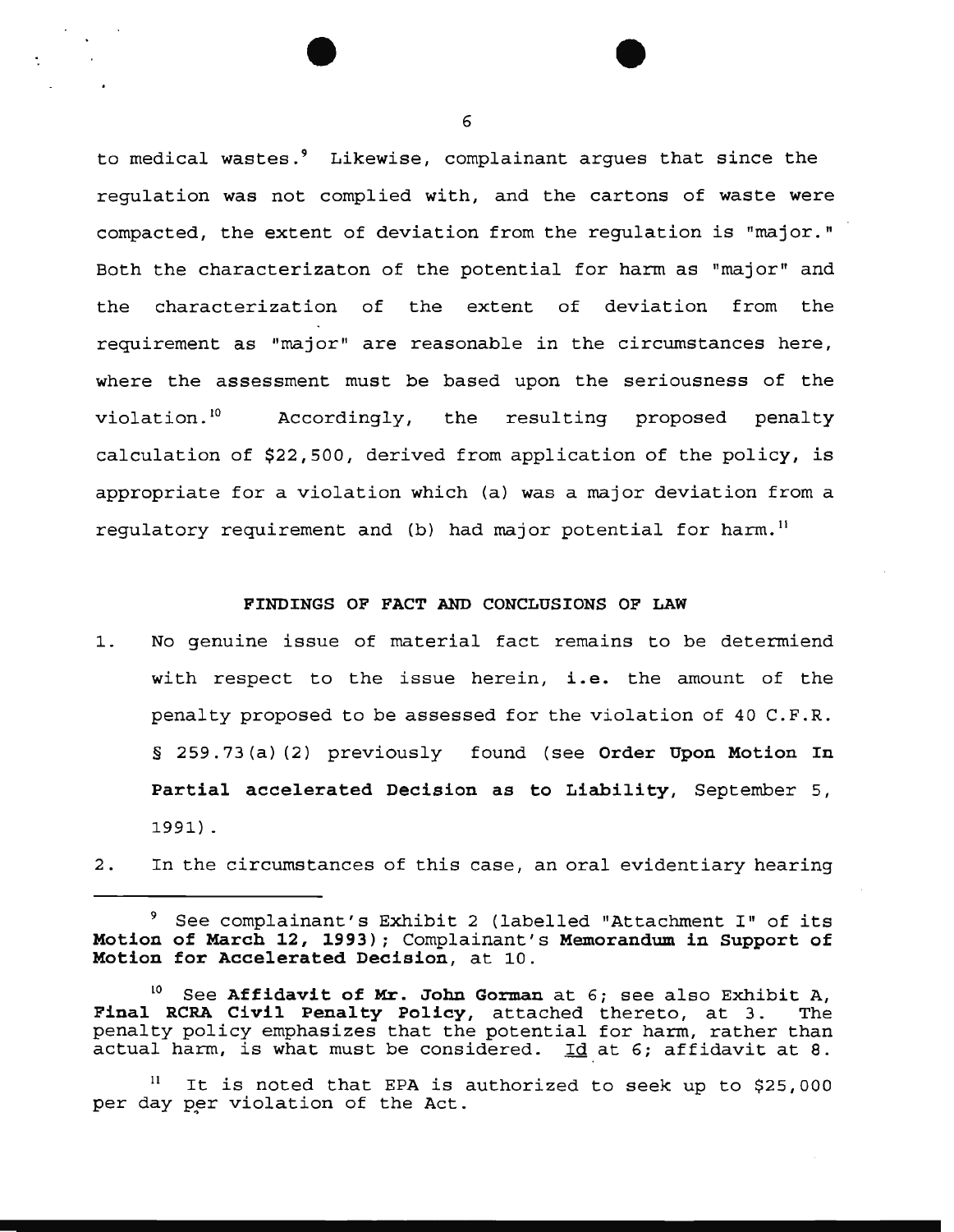to medical wastes.<sup>9</sup> Likewise, complainant argues that since the regulation was not complied with, and the cartons of waste were compacted, the extent of deviation from the regulation is "major." Both the characterizaton of the potential for harm as "major" and the characterization of the extent of deviation from the requirement as "major" are reasonable in the circumstances here, where the assessment must be based upon the seriousness of the violation. 10 Accordingly, the resulting proposed penalty calculation of \$22,500, derived from application of the policy, is appropriate for a violation which (a) was a major deviation from a requlatory requirement and (b) had major potential for harm.<sup>11</sup>

# **FINDINGS OF FACT AND CONCLUSIONS OF LAW**

- 1. No genuine issue of material fact remains to be determiend with respect to the issue herein, **i.e.** the amount of the penalty proposed to be assessed for the violation of 40 C.F.R . § 259.73(a) (2) previously found (see **Order Upon Motion In Partial accelerated Decision as to Liability,** September 5, 1991) .
- 2. In the circumstances of this case, an oral evidentiary hearing

<sup>9</sup> See complainant's Exhibit 2 (labelled "Attachment I" of its **Motion of March 12, 1993);** Complainant's **Memorandum in Support of Motion for Accelerated Decision,** at 10.

<sup>10</sup> See **Affidavit of Mr. John Gorman** at 6; see also Exhibit A, Final RCRA Civil Penalty Policy, attached thereto, at 3. penalty policy emphasizes that the potential for harm, rather than actual harm, is what must be considered. Id at 6; affidavit at 8.

It is noted that EPA is authorized to seek up to \$25,000 per day per violation of the Act.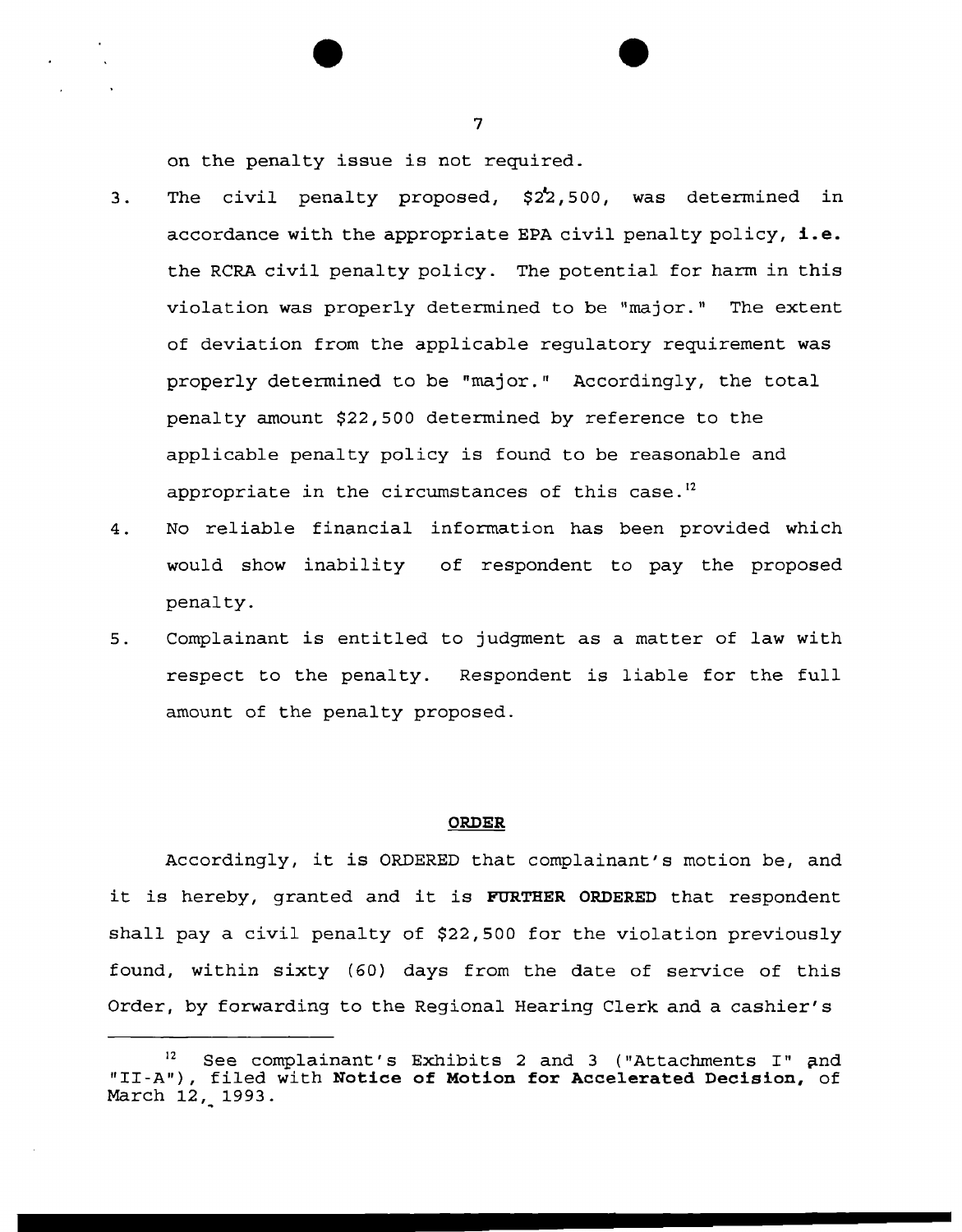on the penalty issue is not required.

- 3. The civil penalty proposed, \$22,500, was determined in accordance with the appropriate EPA civil penalty policy, **i.e.**  the RCRA civil penalty policy. The potential for harm in this violation was properly determined to be "major." The extent of deviation from the applicable regulatory requirement was properly determined to be "major." Accordingly, the total penalty amount \$22,500 determined by reference to the applicable penalty policy is found to be reasonable and appropriate in the circumstances of this case.<sup>12</sup>
- 4. No reliable financial information has been provided which would show inability of respondent to pay the proposed penalty.
- 5. Complainant is entitled to judgment as a matter of law with respect to the penalty. Respondent is liable for the full amount of the penalty proposed.

## **ORDER**

Accordingly, it is ORDERED that complainant's motion be, and it is hereby, granted and it is **FURTHER ORDERED** that respondent shall pay a civil penalty of \$22,500 for the violation previously found, within sixty (60) days from the date of service of this Order, by forwarding to the Regional Hearing Clerk and a cashier's

See complainant's Exhibits 2 and 3 ("Attachments I" and "II-A"), filed with **Notice of Motion for Accelerated Decision,** of March 12, 1993.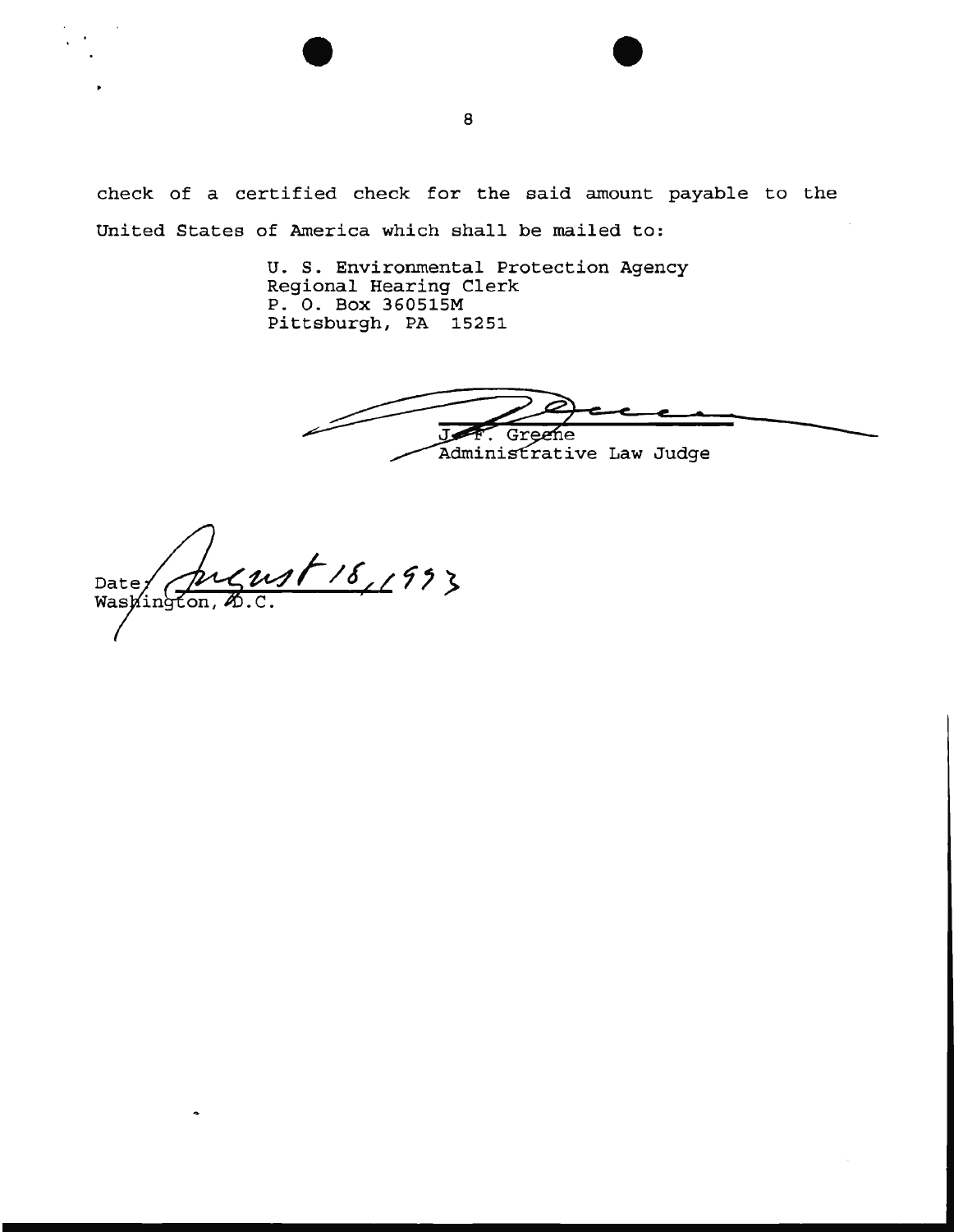check of a certified check for the said amount payable to the United States of America which shall be mailed to:

> U. S. Environmental Protection Agency Regional Hearing Clerk P. 0. Box 360515M Pittsburgh, PA 15251

Greene Administrative Law Judge

1/18,1993 Date: Washington,